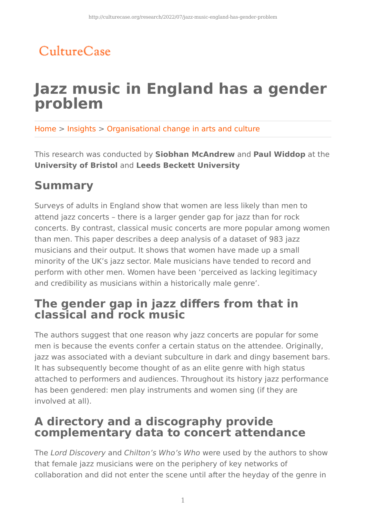## CultureCase

# **Jazz music in England has a gender problem**

Home > Insights > Organisational change in arts and culture

This research was conducted by **Siobhan McAndrew** and **Paul Widdop** at the **University of Bristol** and **Leeds Beckett University**

## **Summary**

Surveys of adults in England show that women are less likely than men to attend jazz concerts – there is a larger gender gap for jazz than for rock concerts. By contrast, classical music concerts are more popular among women than men. This paper describes a deep analysis of a dataset of 983 jazz musicians and their output. It shows that women have made up a small minority of the UK's jazz sector. Male musicians have tended to record and perform with other men. Women have been 'perceived as lacking legitimacy and credibility as musicians within a historically male genre'.

### **The gender gap in jazz differs from that in classical and rock music**

The authors suggest that one reason why jazz concerts are popular for some men is because the events confer a certain status on the attendee. Originally, jazz was associated with a deviant subculture in dark and dingy basement bars. It has subsequently become thought of as an elite genre with high status attached to performers and audiences. Throughout its history jazz performance has been gendered: men play instruments and women sing (if they are involved at all).

### **A directory and a discography provide complementary data to concert attendance**

The Lord Discovery and Chilton's Who's Who were used by the authors to show that female jazz musicians were on the periphery of key networks of collaboration and did not enter the scene until after the heyday of the genre in